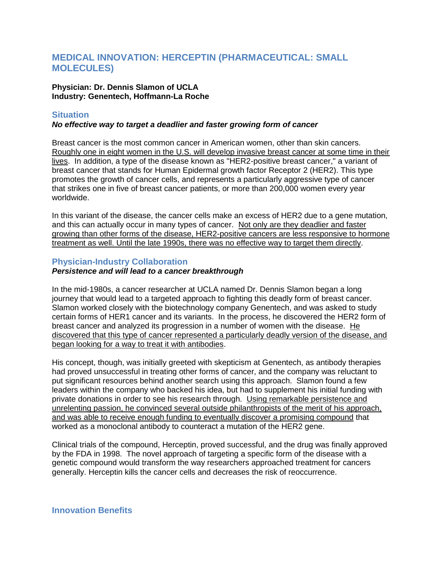# **MEDICAL INNOVATION: HERCEPTIN (PHARMACEUTICAL: SMALL MOLECULES)**

#### **Physician: Dr. Dennis Slamon of UCLA Industry: Genentech, Hoffmann-La Roche**

# **Situation**

## *No effective way to target a deadlier and faster growing form of cancer*

Breast cancer is the most common cancer in American women, other than skin cancers. Roughly one in eight women in the U.S. will develop invasive breast cancer at some time in their lives. In addition, a type of the disease known as "HER2-positive breast cancer," a variant of breast cancer that stands for Human Epidermal growth factor Receptor 2 (HER2). This type promotes the growth of cancer cells, and represents a particularly aggressive type of cancer that strikes one in five of breast cancer patients, or more than 200,000 women every year worldwide.

In this variant of the disease, the cancer cells make an excess of HER2 due to a gene mutation, and this can actually occur in many types of cancer. Not only are they deadlier and faster growing than other forms of the disease, HER2-positive cancers are less responsive to hormone treatment as well. Until the late 1990s, there was no effective way to target them directly.

#### **Physician-Industry Collaboration**

# *Persistence and will lead to a cancer breakthrough*

In the mid-1980s, a cancer researcher at UCLA named Dr. Dennis Slamon began a long journey that would lead to a targeted approach to fighting this deadly form of breast cancer. Slamon worked closely with the biotechnology company Genentech, and was asked to study certain forms of HER1 cancer and its variants. In the process, he discovered the HER2 form of breast cancer and analyzed its progression in a number of women with the disease. He discovered that this type of cancer represented a particularly deadly version of the disease, and began looking for a way to treat it with antibodies.

His concept, though, was initially greeted with skepticism at Genentech, as antibody therapies had proved unsuccessful in treating other forms of cancer, and the company was reluctant to put significant resources behind another search using this approach. Slamon found a few leaders within the company who backed his idea, but had to supplement his initial funding with private donations in order to see his research through. Using remarkable persistence and unrelenting passion, he convinced several outside philanthropists of the merit of his approach, and was able to receive enough funding to eventually discover a promising compound that worked as a monoclonal antibody to counteract a mutation of the HER2 gene.

Clinical trials of the compound, Herceptin, proved successful, and the drug was finally approved by the FDA in 1998. The novel approach of targeting a specific form of the disease with a genetic compound would transform the way researchers approached treatment for cancers generally. Herceptin kills the cancer cells and decreases the risk of reoccurrence.

## **Innovation Benefits**